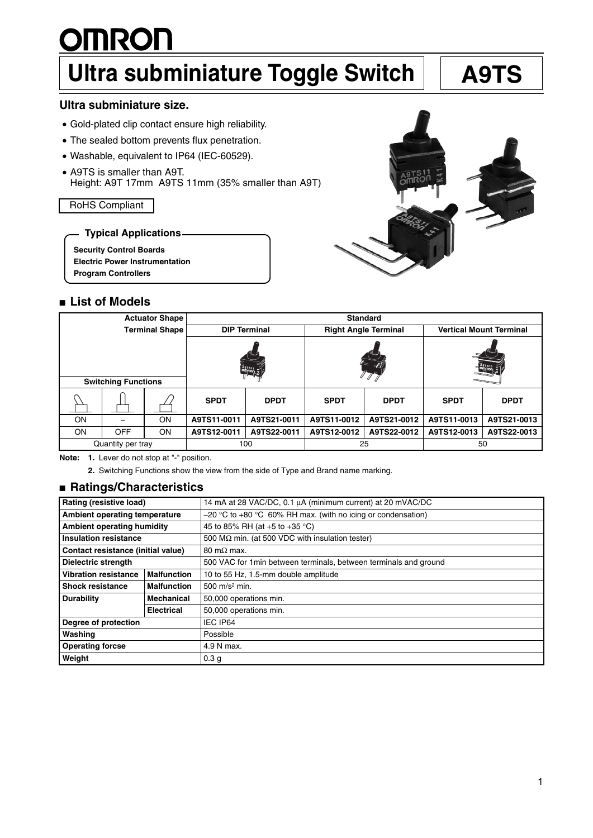# **OINROLL Ultra subminiature Toggle Switch | | A9TS**

# **Ultra subminiature size.**

- Gold-plated clip contact ensure high reliability.
- The sealed bottom prevents flux penetration.
- Washable, equivalent to IP64 (IEC-60529).
- A9TS is smaller than A9T. Height: A9T 17mm A9TS 11mm (35% smaller than A9T)

RoHS Compliant

**Typical Applications**

**Security Control Boards**

**Electric Power Instrumentation**

**Program Controllers**

# ■ **List of Models**

| <b>Actuator Shape</b>      |            |    | <b>Standard</b>     |             |                             |             |                                |             |  |
|----------------------------|------------|----|---------------------|-------------|-----------------------------|-------------|--------------------------------|-------------|--|
| <b>Terminal Shape</b>      |            |    | <b>DIP Terminal</b> |             | <b>Right Angle Terminal</b> |             | <b>Vertical Mount Terminal</b> |             |  |
|                            |            |    |                     |             | -13                         |             |                                |             |  |
| <b>Switching Functions</b> |            |    |                     |             |                             |             |                                |             |  |
|                            |            |    | <b>SPDT</b>         | <b>DPDT</b> | <b>SPDT</b>                 | <b>DPDT</b> | <b>SPDT</b>                    | <b>DPDT</b> |  |
| <b>ON</b>                  |            | ON | A9TS11-0011         | A9TS21-0011 | A9TS11-0012                 | A9TS21-0012 | A9TS11-0013                    | A9TS21-0013 |  |
| <b>ON</b>                  | <b>OFF</b> | ON | A9TS12-0011         | A9TS22-0011 | A9TS12-0012                 | A9TS22-0012 | A9TS12-0013                    | A9TS22-0013 |  |
| Quantity per tray          |            |    | 100                 |             | 25                          |             | 50                             |             |  |

**Note: 1.** Lever do not stop at "-" position.

**2.** Switching Functions show the view from the side of Type and Brand name marking.

# ■ **Ratings/Characteristics**

| Rating (resistive load)                                     |                    | 14 mA at 28 VAC/DC, 0.1 µA (minimum current) at 20 mVAC/DC        |  |  |  |
|-------------------------------------------------------------|--------------------|-------------------------------------------------------------------|--|--|--|
| Ambient operating temperature                               |                    | $-20$ °C to +80 °C 60% RH max. (with no icing or condensation)    |  |  |  |
| Ambient operating humidity                                  |                    | 45 to 85% RH (at +5 to +35 °C)                                    |  |  |  |
| <b>Insulation resistance</b>                                |                    | 500 M $\Omega$ min. (at 500 VDC with insulation tester)           |  |  |  |
| Contact resistance (initial value)                          |                    | 80 m $\Omega$ max.                                                |  |  |  |
| <b>Dielectric strength</b>                                  |                    | 500 VAC for 1 min between terminals, between terminals and ground |  |  |  |
| <b>Vibration resistance</b>                                 | <b>Malfunction</b> | 10 to 55 Hz, 1.5-mm double amplitude                              |  |  |  |
| <b>Shock resistance</b>                                     | <b>Malfunction</b> | 500 m/s <sup>2</sup> min.                                         |  |  |  |
| <b>Durability</b><br><b>Mechanical</b><br><b>Electrical</b> |                    | 50,000 operations min.                                            |  |  |  |
|                                                             |                    | 50,000 operations min.                                            |  |  |  |
| Degree of protection                                        |                    | IEC IP64                                                          |  |  |  |
| Washing                                                     |                    | Possible                                                          |  |  |  |
| <b>Operating forcse</b>                                     |                    | 4.9 N max.                                                        |  |  |  |
| Weight                                                      |                    | 0.3 <sub>g</sub>                                                  |  |  |  |

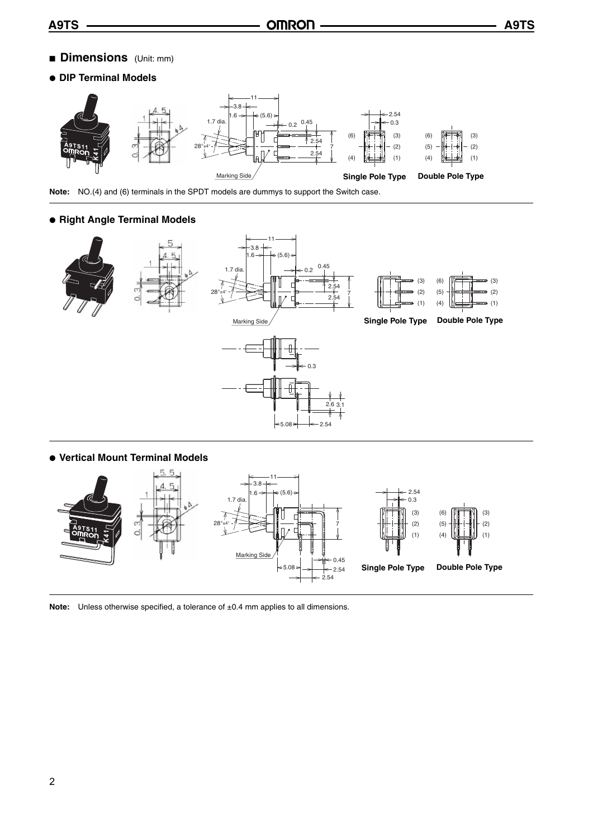- **Dimensions** (Unit: mm)
- **DIP Terminal Models**



**Note:** NO.(4) and (6) terminals in the SPDT models are dummys to support the Switch case.

# ● **Right Angle Terminal Models**





Note: Unless otherwise specified, a tolerance of ±0.4 mm applies to all dimensions.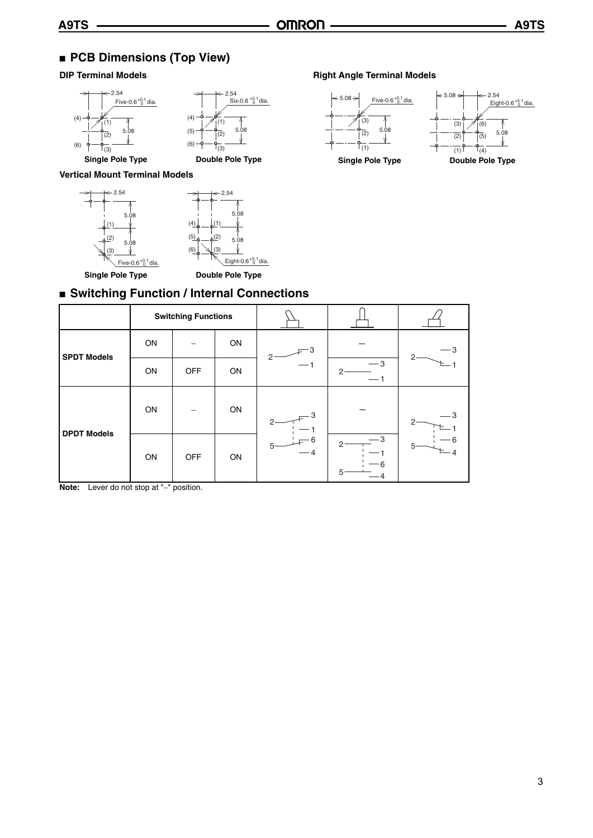# ■ **PCB Dimensions (Top View)**



## **Vertical Mount Terminal Models**



# **DIP Terminal Models Right Angle Terminal Models**



# ■ Switching Function / Internal Connections

|                    | <b>Switching Functions</b> |            |    |                                 |                                |   |
|--------------------|----------------------------|------------|----|---------------------------------|--------------------------------|---|
| <b>SPDT Models</b> | ON                         |            | ON | 2                               |                                | 2 |
|                    | ON                         | <b>OFF</b> | ON | — 1                             | $-3$<br>2 <sup>1</sup><br>$-1$ |   |
| <b>DPDT Models</b> | ON                         |            | ON | з<br>- 6<br>$5^{\circ}$<br>$-4$ |                                | 5 |
|                    | ON                         | <b>OFF</b> | ON |                                 | З<br>2<br>6<br>5               |   |

**Note:** Lever do not stop at "−" position.